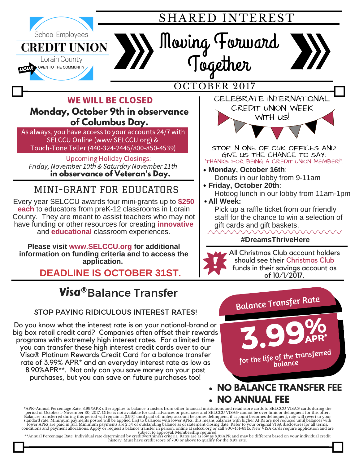